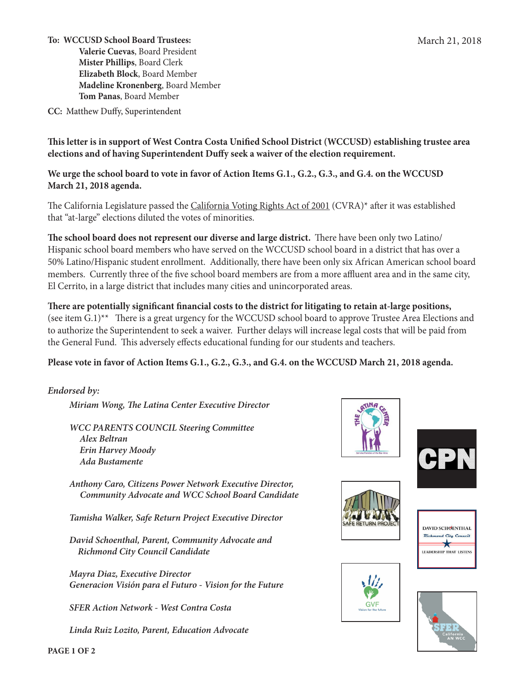**To: WCCUSD School Board Trustees: Valerie Cuevas**, Board President **Mister Phillips**, Board Clerk **Elizabeth Block**, Board Member **Madeline Kronenberg**, Board Member **Tom Panas**, Board Member

**CC:** Matthew Duffy, Superintendent

**This letter is in support of West Contra Costa Unified School District (WCCUSD) establishing trustee area elections and of having Superintendent Duffy seek a waiver of the election requirement.** 

**We urge the school board to vote in favor of Action Items G.1., G.2., G.3., and G.4. on the WCCUSD March 21, 2018 agenda.** 

The California Legislature passed the California Voting Rights Act of 2001 (CVRA)<sup>\*</sup> after it was established that "at-large" elections diluted the votes of minorities.

**The school board does not represent our diverse and large district.** There have been only two Latino/ Hispanic school board members who have served on the WCCUSD school board in a district that has over a 50% Latino/Hispanic student enrollment. Additionally, there have been only six African American school board members. Currently three of the five school board members are from a more affluent area and in the same city, El Cerrito, in a large district that includes many cities and unincorporated areas.

**There are potentially significant financial costs to the district for litigating to retain at-large positions,**  (see item G.1)\*\* There is a great urgency for the WCCUSD school board to approve Trustee Area Elections and to authorize the Superintendent to seek a waiver. Further delays will increase legal costs that will be paid from the General Fund. This adversely effects educational funding for our students and teachers.

## **Please vote in favor of Action Items G.1., G.2., G.3., and G.4. on the WCCUSD March 21, 2018 agenda.**

*Endorsed by:*

*Miriam Wong, The Latina Center Executive Director*

*WCC PARENTS COUNCIL Steering Committee Alex Beltran Erin Harvey Moody Ada Bustamente* 

*Anthony Caro, Citizens Power Network Executive Director, Community Advocate and WCC School Board Candidate*

*Tamisha Walker, Safe Return Project Executive Director*

*David Schoenthal, Parent, Community Advocate and Richmond City Council Candidate*

*Mayra Diaz, Executive Director Generacion Visión para el Futuro - Vision for the Future*

*SFER Action Network - West Contra Costa*

*Linda Ruiz Lozito, Parent, Education Advocate*